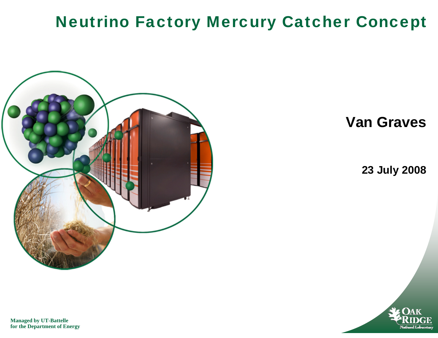#### Neutrino Factory Mercury Catcher Concept



**Van Graves**

**23 July 2008**



**Managed by UT-Battelle for the Department of Energy**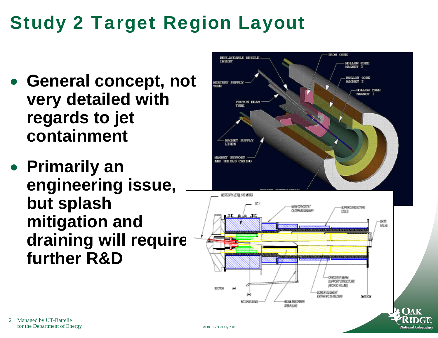# Study 2 Target Region Layout

- **General concept, not very detailed with regards to jet containment**
- **Primarily an engineering issue, but splash mitigation and draining will require further R&D**

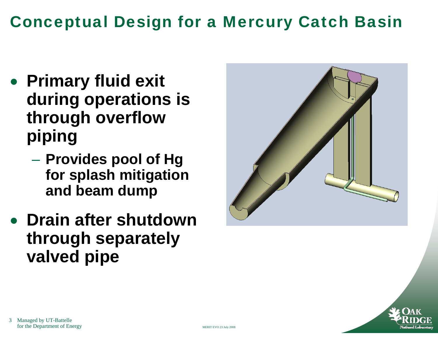#### Conceptual Design for a Mercury Catch Basin

- $\bullet$  **Primary fluid exit during operations is through overflow piping**
	- **Provides pool of Hg for splash mitigation and beam dump**
- **Drain after shutdown through separately valved pipe**



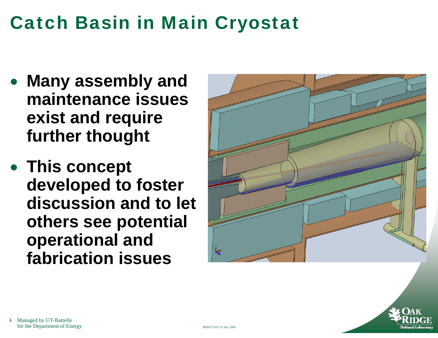## Catch Basin in Main Cryostat

- **Many assembly and maintenance issues exist and require further thought**
- **This concept developed to foster discussion and to let others see potential operational and fabrication issues**